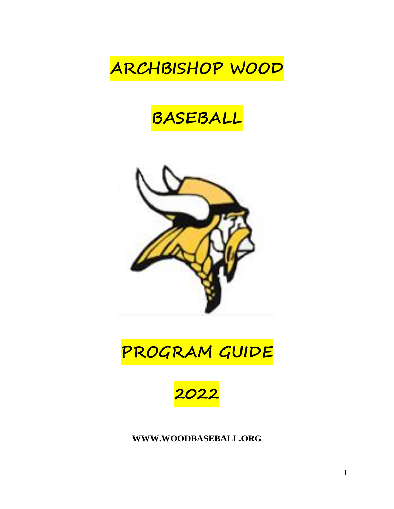# **ARCHBISHOP WOOD**

## **BASEBALL**



## **PROGRAM GUIDE**



**[WWW.WOODBASEBALL.ORG](http://www.woodbaseball.org/)**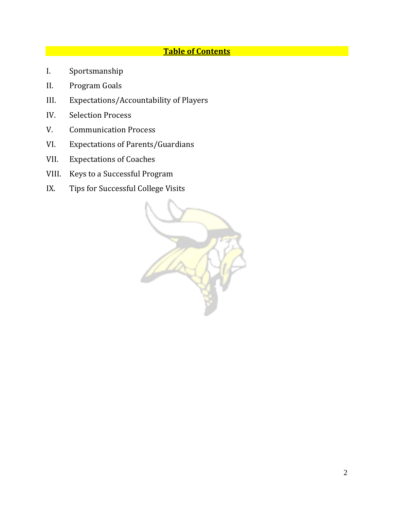### **Table of Contents**

- I. Sportsmanship
- II. Program Goals
- III. Expectations/Accountability of Players
- IV. Selection Process
- V. Communication Process
- VI. Expectations of Parents/Guardians
- VII. Expectations of Coaches
- VIII. Keys to a Successful Program
- IX. Tips for Successful College Visits

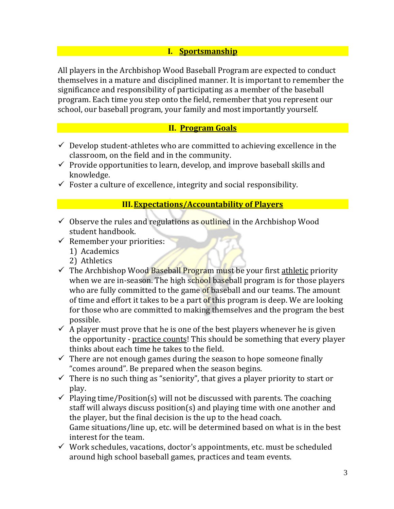#### **I. Sportsmanship**

All players in the Archbishop Wood Baseball Program are expected to conduct themselves in a mature and disciplined manner. It is important to remember the significance and responsibility of participating as a member of the baseball program. Each time you step onto the field, remember that you represent our school, our baseball program, your family and most importantly yourself.

#### **II. Program Goals**

- $\checkmark$  Develop student-athletes who are committed to achieving excellence in the classroom, on the field and in the community.
- $\checkmark$  Provide opportunities to learn, develop, and improve baseball skills and knowledge.
- $\checkmark$  Foster a culture of excellence, integrity and social responsibility.

#### **III.Expectations/Accountability of Players**

- $\checkmark$  Observe the rules and regulations as outlined in the Archbishop Wood student handbook.
- $\checkmark$  Remember your priorities:
	- 1) Academics
	- 2) Athletics
- $\checkmark$  The Archbishop Wood Baseball Program must be your first athletic priority when we are in-season. The high school baseball program is for those players who are fully committed to the game of baseball and our teams. The amount of time and effort it takes to be a part of this program is deep. We are looking for those who are committed to making themselves and the program the best possible.
- $\checkmark$  A player must prove that he is one of the best players whenever he is given the opportunity - practice counts! This should be something that every player thinks about each time he takes to the field.
- $\checkmark$  There are not enough games during the season to hope someone finally "comes around". Be prepared when the season begins.
- $\checkmark$  There is no such thing as "seniority", that gives a player priority to start or play.
- $\checkmark$  Playing time/Position(s) will not be discussed with parents. The coaching staff will always discuss position(s) and playing time with one another and the player, but the final decision is the up to the head coach. Game situations/line up, etc. will be determined based on what is in the best interest for the team.
- $\checkmark$  Work schedules, vacations, doctor's appointments, etc. must be scheduled around high school baseball games, practices and team events.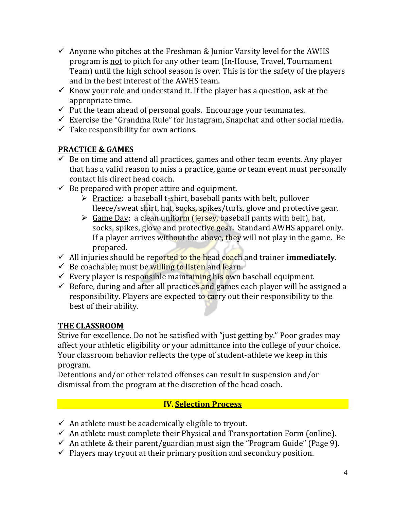- $\checkmark$  Anyone who pitches at the Freshman & Junior Varsity level for the AWHS program is not to pitch for any other team (In-House, Travel, Tournament Team) until the high school season is over. This is for the safety of the players and in the best interest of the AWHS team.
- Know your role and understand it. If the player has a question, ask at the appropriate time.
- $\checkmark$  Put the team ahead of personal goals. Encourage your teammates.
- $\checkmark$  Exercise the "Grandma Rule" for Instagram, Snapchat and other social media.
- $\checkmark$  Take responsibility for own actions.

### **PRACTICE & GAMES**

- $\checkmark$  Be on time and attend all practices, games and other team events. Any player that has a valid reason to miss a practice, game or team event must personally contact his direct head coach.
- $\checkmark$  Be prepared with proper attire and equipment.
	- $\triangleright$  Practice: a baseball t-shirt, baseball pants with belt, pullover fleece/sweat shirt, hat, socks, spikes/turfs, glove and protective gear.
	- $\triangleright$  Game Day: a clean uniform (jersey, baseball pants with belt), hat, socks, spikes, glove and protective gear. Standard AWHS apparel only. If a player arrives without the above, they will not play in the game. Be prepared.
- All injuries should be reported to the head coach and trainer **immediately**.
- $\checkmark$  Be coachable; must be willing to listen and learn.
- $\checkmark$  Every player is responsible maintaining his own baseball equipment.
- $\checkmark$  Before, during and after all practices and games each player will be assigned a responsibility. Players are expected to carry out their responsibility to the best of their ability.

### **THE CLASSROOM**

Strive for excellence. Do not be satisfied with "just getting by." Poor grades may affect your athletic eligibility or your admittance into the college of your choice. Your classroom behavior reflects the type of student-athlete we keep in this program.

Detentions and/or other related offenses can result in suspension and/or dismissal from the program at the discretion of the head coach.

### **IV. Selection Process**

- $\checkmark$  An athlete must be academically eligible to tryout.
- $\checkmark$  An athlete must complete their Physical and Transportation Form (online).
- An athlete & their parent/guardian must sign the "Program Guide" (Page 9).
- $\checkmark$  Players may tryout at their primary position and secondary position.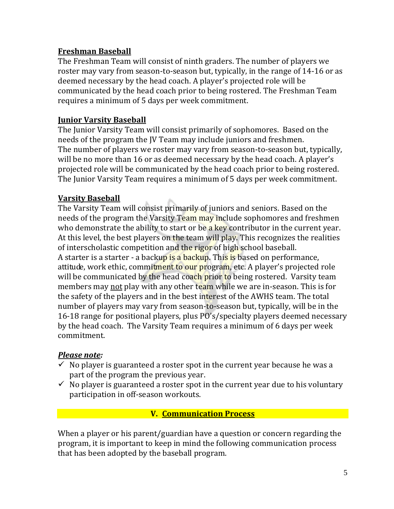#### **Freshman Baseball**

The Freshman Team will consist of ninth graders. The number of players we roster may vary from season-to-season but, typically, in the range of 14-16 or as deemed necessary by the head coach. A player's projected role will be communicated by the head coach prior to being rostered. The Freshman Team requires a minimum of 5 days per week commitment.

### **Junior Varsity Baseball**

The Junior Varsity Team will consist primarily of sophomores. Based on the needs of the program the JV Team may include juniors and freshmen. The number of players we roster may vary from season-to-season but, typically, will be no more than 16 or as deemed necessary by the head coach. A player's projected role will be communicated by the head coach prior to being rostered. The Junior Varsity Team requires a minimum of 5 days per week commitment.

#### **Varsity Baseball**

The Varsity Team will consist primarily of juniors and seniors. Based on the needs of the program the Varsity Team may include sophomores and freshmen who demonstrate the ability to start or be a key contributor in the current year. At this level, the best players on the team will play. This recognizes the realities of interscholastic competition and the rigor of high school baseball. A starter is a starter - a backup is a backup. This is based on performance, attitude, work ethic, commitment to our program, etc. A player's projected role will be communicated by the head coach prior to being rostered. Varsity team members may not play with any other team while we are in-season. This is for the safety of the players and in the best interest of the AWHS team. The total number of players may vary from season-to-season but, typically, will be in the 16-18 range for positional players, plus PO's/specialty players deemed necessary by the head coach. The Varsity Team requires a minimum of 6 days per week commitment.

#### *Please note:*

- $\checkmark$  No player is guaranteed a roster spot in the current year because he was a part of the program the previous year.
- $\checkmark$  No player is guaranteed a roster spot in the current year due to his voluntary participation in off-season workouts.

#### **V. Communication Process**

When a player or his parent/guardian have a question or concern regarding the program, it is important to keep in mind the following communication process that has been adopted by the baseball program.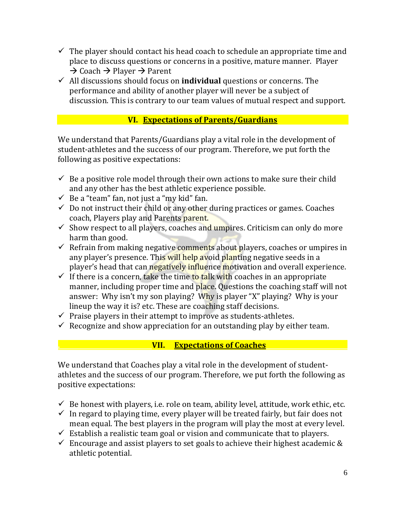- $\checkmark$  The player should contact his head coach to schedule an appropriate time and place to discuss questions or concerns in a positive, mature manner. Player  $\rightarrow$  Coach  $\rightarrow$  Player  $\rightarrow$  Parent
- $\checkmark$  All discussions should focus on **individual** questions or concerns. The performance and ability of another player will never be a subject of discussion. This is contrary to our team values of mutual respect and support.

#### **VI. Expectations of Parents/Guardians**

We understand that Parents/Guardians play a vital role in the development of student-athletes and the success of our program. Therefore, we put forth the following as positive expectations:

- $\checkmark$  Be a positive role model through their own actions to make sure their child and any other has the best athletic experience possible.
- $\checkmark$  Be a "team" fan, not just a "my kid" fan.
- $\checkmark$  Do not instruct their child or any other during practices or games. Coaches coach, Players play and Parents parent.
- $\checkmark$  Show respect to all players, coaches and umpires. Criticism can only do more harm than good.
- $\checkmark$  Refrain from making negative comments about players, coaches or umpires in any player's presence. This will help avoid planting negative seeds in a player's head that can negatively influence motivation and overall experience.
- If there is a concern, take the time to talk with coaches in an appropriate manner, including proper time and place. Questions the coaching staff will not answer: Why isn't my son playing? Why is player "X" playing? Why is your lineup the way it is? etc. These are coaching staff decisions.
- $\checkmark$  Praise players in their attempt to improve as students-athletes.
- $\checkmark$  Recognize and show appreciation for an outstanding play by either team.

### **. VII. Expectations of Coaches**

We understand that Coaches play a vital role in the development of studentathletes and the success of our program. Therefore, we put forth the following as positive expectations:

- $\checkmark$  Be honest with players, i.e. role on team, ability level, attitude, work ethic, etc.
- $\checkmark$  In regard to playing time, every player will be treated fairly, but fair does not mean equal. The best players in the program will play the most at every level.
- $\checkmark$  Establish a realistic team goal or vision and communicate that to players.
- $\checkmark$  Encourage and assist players to set goals to achieve their highest academic & athletic potential.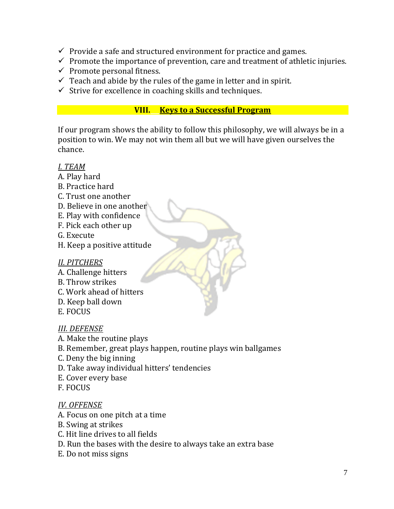- $\checkmark$  Provide a safe and structured environment for practice and games.
- $\checkmark$  Promote the importance of prevention, care and treatment of athletic injuries.
- $\checkmark$  Promote personal fitness.
- $\checkmark$  Teach and abide by the rules of the game in letter and in spirit.
- $\checkmark$  Strive for excellence in coaching skills and techniques.

#### **VIII. Keys to a Successful Program**

If our program shows the ability to follow this philosophy, we will always be in a position to win. We may not win them all but we will have given ourselves the chance.

#### *I. TEAM*

- A. Play hard
- B. Practice hard
- C. Trust one another
- D. Believe in one another
- E. Play with confidence
- F. Pick each other up
- G. Execute
- H. Keep a positive attitude

### *II. PITCHERS*

- A. Challenge hitters
- B. Throw strikes
- C. Work ahead of hitters
- D. Keep ball down
- E. FOCUS

### *III. DEFENSE*

- A. Make the routine plays
- B. Remember, great plays happen, routine plays win ballgames
- C. Deny the big inning
- D. Take away individual hitters' tendencies
- E. Cover every base
- F. FOCUS

#### *IV. OFFENSE*

- A. Focus on one pitch at a time
- B. Swing at strikes
- C. Hit line drives to all fields
- D. Run the bases with the desire to always take an extra base
- E. Do not miss signs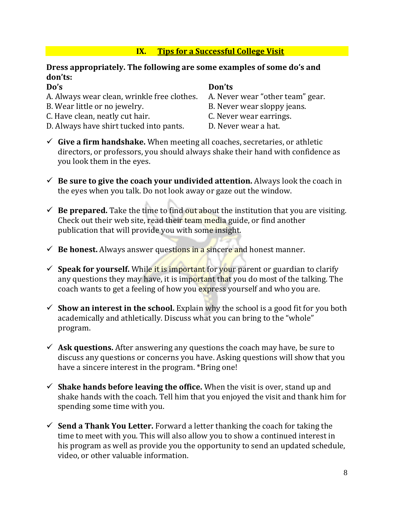#### **IX.** Tips for a Successful College Visit

#### **Dress appropriately. The following are some examples of some do's and don'ts:**

**Do's**<br>**Don'ts Don'ts**<br>**A. Always wear clean, wrinkle free clothes. A. Never wear "other team" gear.** A. Always wear clean, wrinkle free clothes.

- B. Wear little or no jewelry. B. Never wear sloppy jeans.
- C. Have clean, neatly cut hair. C. Never wear earrings.
- D. Always have shirt tucked into pants. D. Never wear a hat.

- 
- 
- 
- 
- **Give a firm handshake.** When meeting all coaches, secretaries, or athletic directors, or professors, you should always shake their hand with confidence as you look them in the eyes.
- **Be sure to give the coach your undivided attention.** Always look the coach in the eyes when you talk. Do not look away or gaze out the window.
- $\checkmark$  **Be prepared.** Take the time to find out about the institution that you are visiting. Check out their web site, read their team media guide, or find another publication that will provide you with some insight.
- $\checkmark$  **Be honest.** Always answer questions in a sincere and honest manner.
- **Speak for yourself.** While it is important for your parent or guardian to clarify any questions they may have, it is important that you do most of the talking. The coach wants to get a feeling of how you express yourself and who you are.
- $\checkmark$  **Show an interest in the school.** Explain why the school is a good fit for you both academically and athletically. Discuss what you can bring to the "whole" program.
- $\checkmark$  Ask questions. After answering any questions the coach may have, be sure to discuss any questions or concerns you have. Asking questions will show that you have a sincere interest in the program. \*Bring one!
- $\checkmark$  **Shake hands before leaving the office.** When the visit is over, stand up and shake hands with the coach. Tell him that you enjoyed the visit and thank him for spending some time with you.
- **Send a Thank You Letter.** Forward a letter thanking the coach for taking the time to meet with you. This will also allow you to show a continued interest in his program as well as provide you the opportunity to send an updated schedule, video, or other valuable information.